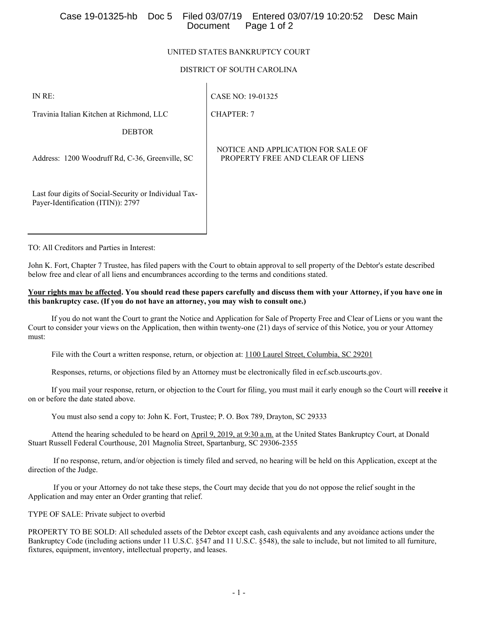## Case 19-01325-hb Doc 5 Filed 03/07/19 Entered 03/07/19 10:20:52 Desc Main Page 1 of 2

## UNITED STATES BANKRUPTCY COURT

## DISTRICT OF SOUTH CAROLINA

CHAPTER: 7

IN RE:

CASE NO: 19-01325

Travinia Italian Kitchen at Richmond, LLC

DEBTOR

Address: 1200 Woodruff Rd, C-36, Greenville, SC

Last four digits of Social-Security or Individual Tax-Payer-Identification (ITIN)): 2797

NOTICE AND APPLICATION FOR SALE OF PROPERTY FREE AND CLEAR OF LIENS

TO: All Creditors and Parties in Interest:

John K. Fort, Chapter 7 Trustee, has filed papers with the Court to obtain approval to sell property of the Debtor's estate described below free and clear of all liens and encumbrances according to the terms and conditions stated.

#### **Your rights may be affected. You should read these papers carefully and discuss them with your Attorney, if you have one in this bankruptcy case. (If you do not have an attorney, you may wish to consult one.)**

 If you do not want the Court to grant the Notice and Application for Sale of Property Free and Clear of Liens or you want the Court to consider your views on the Application, then within twenty-one (21) days of service of this Notice, you or your Attorney must:

File with the Court a written response, return, or objection at: 1100 Laurel Street, Columbia, SC 29201

Responses, returns, or objections filed by an Attorney must be electronically filed in ecf.scb.uscourts.gov.

 If you mail your response, return, or objection to the Court for filing, you must mail it early enough so the Court will **receive** it on or before the date stated above.

You must also send a copy to: John K. Fort, Trustee; P. O. Box 789, Drayton, SC 29333

 Attend the hearing scheduled to be heard on April 9, 2019, at 9:30 a.m. at the United States Bankruptcy Court, at Donald Stuart Russell Federal Courthouse, 201 Magnolia Street, Spartanburg, SC 29306-2355

 If no response, return, and/or objection is timely filed and served, no hearing will be held on this Application, except at the direction of the Judge.

 If you or your Attorney do not take these steps, the Court may decide that you do not oppose the relief sought in the Application and may enter an Order granting that relief.

TYPE OF SALE: Private subject to overbid

PROPERTY TO BE SOLD: All scheduled assets of the Debtor except cash, cash equivalents and any avoidance actions under the Bankruptcy Code (including actions under 11 U.S.C. §547 and 11 U.S.C. §548), the sale to include, but not limited to all furniture, fixtures, equipment, inventory, intellectual property, and leases.